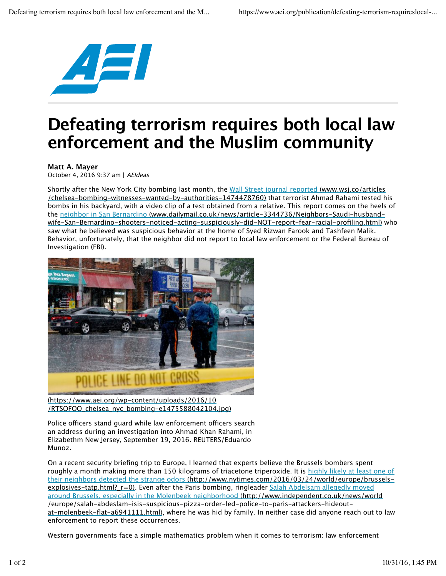

## **Defeating terrorism requires both local law enforcement and the Muslim community**

## **Matt A. Mayer**

October 4, 2016 9:37 am | AEIdeas

Shortly after the New York City bombing last month, the Wall Street journal reported (www.wsj.co/articles /chelsea-bombing-witnesses-wanted-by-authorities-1474478760) that terrorist Ahmad Rahami tested his bombs in his backyard, with a video clip of a test obtained from a relative. This report comes on the heels of the neighbor in San Bernardino (www.dailymail.co.uk/news/article-3344736/Neighbors-Saudi-husbandwife-San-Bernardino-shooters-noticed-acting-suspiciously-did-NOT-report-fear-racial-profiling.html) who saw what he believed was suspicious behavior at the home of Syed Rizwan Farook and Tashfeen Malik. Behavior, unfortunately, that the neighbor did not report to local law enforcement or the Federal Bureau of Investigation (FBI).



(https://www.aei.org/wp-content/uploads/2016/10 /RTSOFOO\_chelsea\_nyc\_bombing-e1475588042104.jpg)

Police officers stand guard while law enforcement officers search an address during an investigation into Ahmad Khan Rahami, in Elizabethm New Jersey, September 19, 2016. REUTERS/Eduardo Munoz.

On a recent security briefing trip to Europe, I learned that experts believe the Brussels bombers spent roughly a month making more than 150 kilograms of triacetone triperoxide. It is highly likely at least one of their neighbors detected the strange odors (http://www.nytimes.com/2016/03/24/world/europe/brusselsexplosives-tatp.html? r=0). Even after the Paris bombing, ringleader Salah Abdelsam allegedly moved around Brussels, especially in the Molenbeek neighborhood (http://www.independent.co.uk/news/world /europe/salah-abdeslam-isis-suspicious-pizza-order-led-police-to-paris-attackers-hideoutat-molenbeek-flat-a6941111.html), where he was hid by family. In neither case did anyone reach out to law enforcement to report these occurrences.

Western governments face a simple mathematics problem when it comes to terrorism: law enforcement